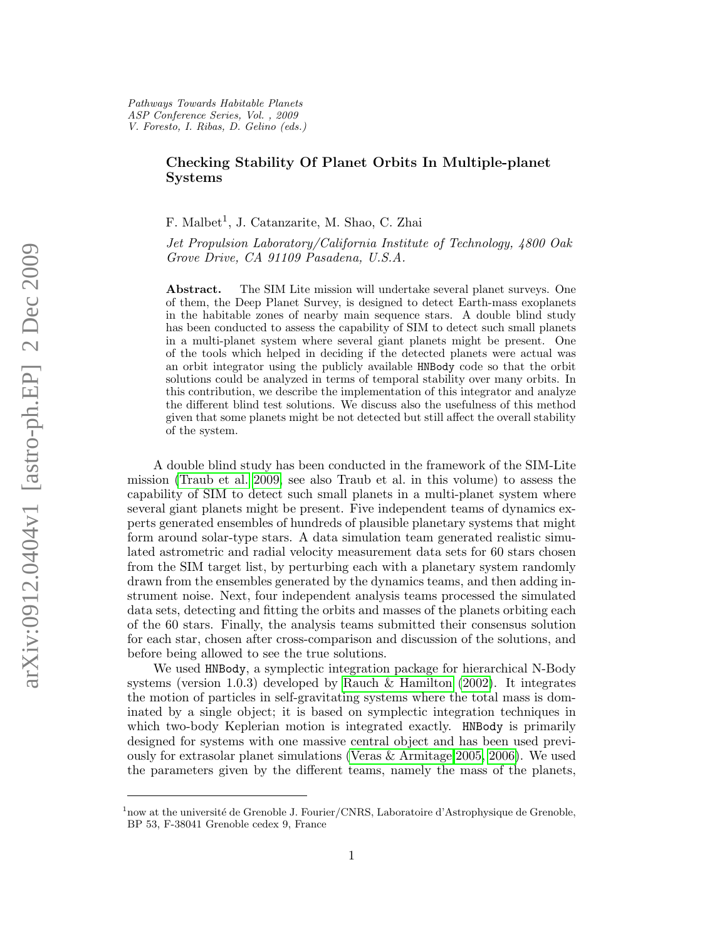## Checking Stability Of Planet Orbits In Multiple-planet Systems

F. Malbet<sup>1</sup>, J. Catanzarite, M. Shao, C. Zhai

Jet Propulsion Laboratory/California Institute of Technology, 4800 Oak Grove Drive, CA 91109 Pasadena, U.S.A.

Abstract. The SIM Lite mission will undertake several planet surveys. One of them, the Deep Planet Survey, is designed to detect Earth-mass exoplanets in the habitable zones of nearby main sequence stars. A double blind study has been conducted to assess the capability of SIM to detect such small planets in a multi-planet system where several giant planets might be present. One of the tools which helped in deciding if the detected planets were actual was an orbit integrator using the publicly available HNBody code so that the orbit solutions could be analyzed in terms of temporal stability over many orbits. In this contribution, we describe the implementation of this integrator and analyze the different blind test solutions. We discuss also the usefulness of this method given that some planets might be not detected but still affect the overall stability of the system.

A double blind study has been conducted in the framework of the SIM-Lite mission [\(Traub et al. 2009,](#page-1-0) see also Traub et al. in this volume) to assess the capability of SIM to detect such small planets in a multi-planet system where several giant planets might be present. Five independent teams of dynamics experts generated ensembles of hundreds of plausible planetary systems that might form around solar-type stars. A data simulation team generated realistic simulated astrometric and radial velocity measurement data sets for 60 stars chosen from the SIM target list, by perturbing each with a planetary system randomly drawn from the ensembles generated by the dynamics teams, and then adding instrument noise. Next, four independent analysis teams processed the simulated data sets, detecting and fitting the orbits and masses of the planets orbiting each of the 60 stars. Finally, the analysis teams submitted their consensus solution for each star, chosen after cross-comparison and discussion of the solutions, and before being allowed to see the true solutions.

We used HNBody, a symplectic integration package for hierarchical N-Body systems (version 1.0.3) developed by [Rauch & Hamilton](#page-1-1) [\(2002\)](#page-1-1). It integrates the motion of particles in self-gravitating systems where the total mass is dominated by a single object; it is based on symplectic integration techniques in which two-body Keplerian motion is integrated exactly. **HNBody** is primarily designed for systems with one massive central object and has been used previously for extrasolar planet simulations [\(Veras & Armitage 2005,](#page-1-2) [2006\)](#page-1-3). We used the parameters given by the different teams, namely the mass of the planets,

<sup>&</sup>lt;sup>1</sup>now at the université de Grenoble J. Fourier/CNRS, Laboratoire d'Astrophysique de Grenoble, BP 53, F-38041 Grenoble cedex 9, France